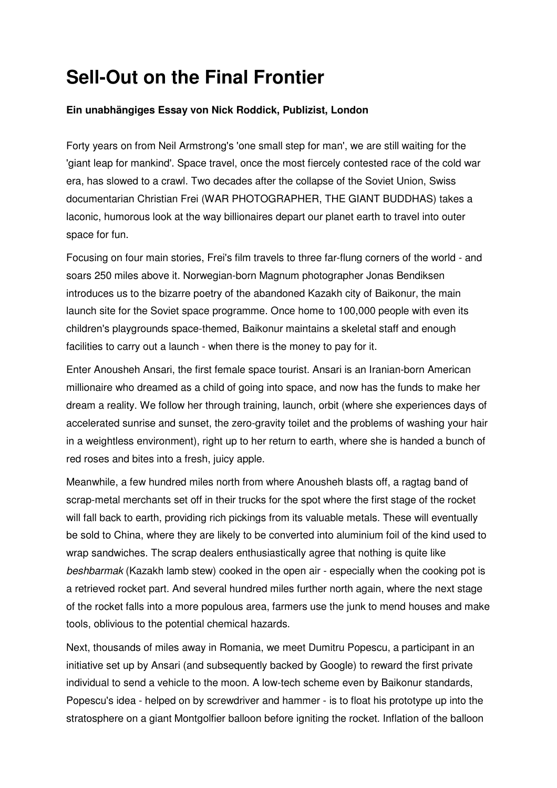## Sell-Out on the Final Frontier

## Ein unabhängiges Essay von Nick Roddick, Publizist, London

Forty years on from Neil Armstrong's 'one small step for man', we are still waiting for the 'giant leap for mankind'. Space travel, once the most fiercely contested race of the cold war era, has slowed to a crawl. Two decades after the collapse of the Soviet Union, Swiss documentarian Christian Frei (WAR PHOTOGRAPHER, THE GIANT BUDDHAS) takes a laconic, humorous look at the way billionaires depart our planet earth to travel into outer space for fun.

Focusing on four main stories, Frei's film travels to three far-flung corners of the world - and soars 250 miles above it. Norwegian-born Magnum photographer Jonas Bendiksen introduces us to the bizarre poetry of the abandoned Kazakh city of Baikonur, the main launch site for the Soviet space programme. Once home to 100,000 people with even its children's playgrounds space-themed, Baikonur maintains a skeletal staff and enough facilities to carry out a launch - when there is the money to pay for it.

Enter Anousheh Ansari, the first female space tourist. Ansari is an Iranian-born American millionaire who dreamed as a child of going into space, and now has the funds to make her dream a reality. We follow her through training, launch, orbit (where she experiences days of accelerated sunrise and sunset, the zero-gravity toilet and the problems of washing your hair in a weightless environment), right up to her return to earth, where she is handed a bunch of red roses and bites into a fresh, juicy apple.

Meanwhile, a few hundred miles north from where Anousheh blasts off, a ragtag band of scrap-metal merchants set off in their trucks for the spot where the first stage of the rocket will fall back to earth, providing rich pickings from its valuable metals. These will eventually be sold to China, where they are likely to be converted into aluminium foil of the kind used to wrap sandwiches. The scrap dealers enthusiastically agree that nothing is quite like beshbarmak (Kazakh lamb stew) cooked in the open air - especially when the cooking pot is a retrieved rocket part. And several hundred miles further north again, where the next stage of the rocket falls into a more populous area, farmers use the junk to mend houses and make tools, oblivious to the potential chemical hazards.

Next, thousands of miles away in Romania, we meet Dumitru Popescu, a participant in an initiative set up by Ansari (and subsequently backed by Google) to reward the first private individual to send a vehicle to the moon. A low-tech scheme even by Baikonur standards, Popescu's idea - helped on by screwdriver and hammer - is to float his prototype up into the stratosphere on a giant Montgolfier balloon before igniting the rocket. Inflation of the balloon